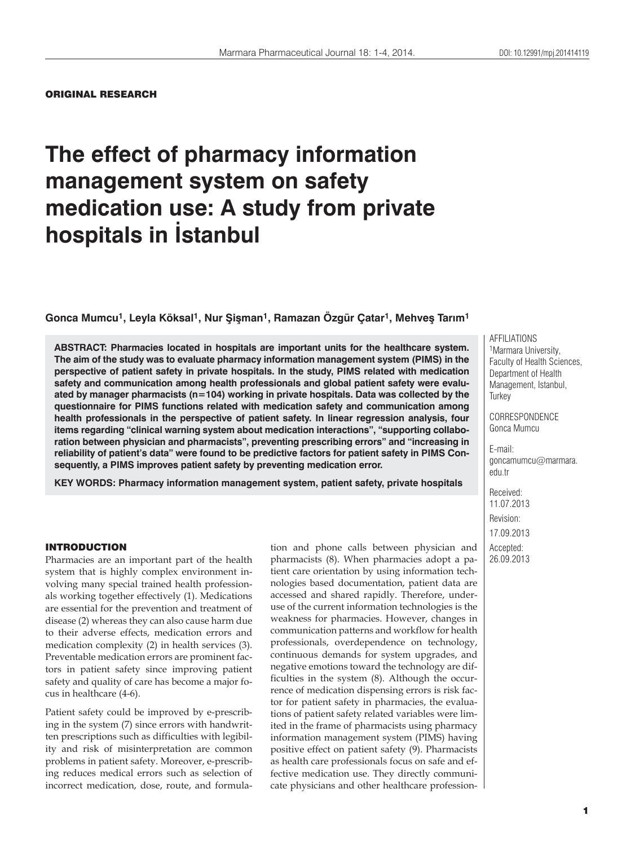## ORIGINAL RESEARCH

# **The effect of pharmacy information management system on safety medication use: A study from private hospitals in İstanbul**

**Gonca Mumcu1, Leyla Köksal1, Nur Şişman1, Ramazan Özgür Çatar1, Mehveş Tarım1**

**ABSTRACT: Pharmacies located in hospitals are important units for the healthcare system. The aim of the study was to evaluate pharmacy information management system (PIMS) in the perspective of patient safety in private hospitals. In the study, PIMS related with medication safety and communication among health professionals and global patient safety were evaluated by manager pharmacists (n=104) working in private hospitals. Data was collected by the questionnaire for PIMS functions related with medication safety and communication among health professionals in the perspective of patient safety. In linear regression analysis, four items regarding "clinical warning system about medication interactions", "supporting collaboration between physician and pharmacists", preventing prescribing errors" and "increasing in reliability of patient's data" were found to be predictive factors for patient safety in PIMS Consequently, a PIMS improves patient safety by preventing medication error.**

**KEY WORDS: Pharmacy information management system, patient safety, private hospitals**

#### INTRODUCTION

Pharmacies are an important part of the health system that is highly complex environment involving many special trained health professionals working together effectively (1). Medications are essential for the prevention and treatment of disease (2) whereas they can also cause harm due to their adverse effects, medication errors and medication complexity (2) in health services (3). Preventable medication errors are prominent factors in patient safety since improving patient safety and quality of care has become a major focus in healthcare (4-6).

Patient safety could be improved by e-prescribing in the system (7) since errors with handwritten prescriptions such as difficulties with legibility and risk of misinterpretation are common problems in patient safety. Moreover, e-prescribing reduces medical errors such as selection of incorrect medication, dose, route, and formulation and phone calls between physician and pharmacists (8). When pharmacies adopt a patient care orientation by using information technologies based documentation, patient data are accessed and shared rapidly. Therefore, underuse of the current information technologies is the weakness for pharmacies. However, changes in communication patterns and workflow for health professionals, overdependence on technology, continuous demands for system upgrades, and negative emotions toward the technology are difficulties in the system (8). Although the occurrence of medication dispensing errors is risk factor for patient safety in pharmacies, the evaluations of patient safety related variables were limited in the frame of pharmacists using pharmacy information management system (PIMS) having positive effect on patient safety (9). Pharmacists as health care professionals focus on safe and effective medication use. They directly communicate physicians and other healthcare professionAFFILIATIONS 1Marmara University, Faculty of Health Sciences, Department of Health Management, Istanbul, **Turkey** 

CORRESPONDENCE Gonca Mumcu

E-mail: goncamumcu@marmara. edu.tr

Received: 11.07.2013 Revision: 17.09.2013 Accepted: 26.09.2013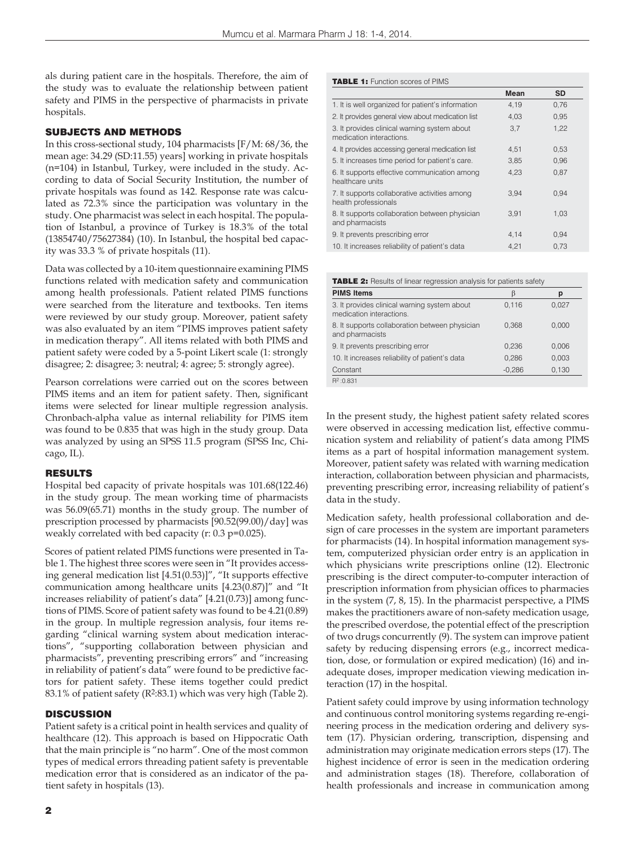als during patient care in the hospitals. Therefore, the aim of the study was to evaluate the relationship between patient safety and PIMS in the perspective of pharmacists in private hospitals.

## SUBJECTS AND METHODS

In this cross-sectional study, 104 pharmacists [F/M: 68/36, the mean age: 34.29 (SD:11.55) years] working in private hospitals (n=104) in Istanbul, Turkey, were included in the study. According to data of Social Security Institution, the number of private hospitals was found as 142. Response rate was calculated as 72.3% since the participation was voluntary in the study. One pharmacist was select in each hospital. The population of Istanbul, a province of Turkey is 18.3% of the total (13854740/75627384) (10). In Istanbul, the hospital bed capacity was 33.3 % of private hospitals (11).

Data was collected by a 10-item questionnaire examining PIMS functions related with medication safety and communication among health professionals. Patient related PIMS functions were searched from the literature and textbooks. Ten items were reviewed by our study group. Moreover, patient safety was also evaluated by an item "PIMS improves patient safety in medication therapy". All items related with both PIMS and patient safety were coded by a 5-point Likert scale (1: strongly disagree; 2: disagree; 3: neutral; 4: agree; 5: strongly agree).

Pearson correlations were carried out on the scores between PIMS items and an item for patient safety. Then, significant items were selected for linear multiple regression analysis. Chronbach-alpha value as internal reliability for PIMS item was found to be 0.835 that was high in the study group. Data was analyzed by using an SPSS 11.5 program (SPSS Inc, Chicago, IL).

## RESULTS

Hospital bed capacity of private hospitals was 101.68(122.46) in the study group. The mean working time of pharmacists was 56.09(65.71) months in the study group. The number of prescription processed by pharmacists [90.52(99.00)/day] was weakly correlated with bed capacity (r: 0.3 p=0.025).

Scores of patient related PIMS functions were presented in Table 1. The highest three scores were seen in "It provides accessing general medication list [4.51(0.53)]", "It supports effective communication among healthcare units [4.23(0.87)]" and "It increases reliability of patient's data" [4.21(0.73)] among functions of PIMS. Score of patient safety was found to be 4.21(0.89) in the group. In multiple regression analysis, four items regarding "clinical warning system about medication interactions", "supporting collaboration between physician and pharmacists", preventing prescribing errors" and "increasing in reliability of patient's data" were found to be predictive factors for patient safety. These items together could predict 83.1% of patient safety (R2:83.1) which was very high (Table 2).

## **DISCUSSION**

Patient safety is a critical point in health services and quality of healthcare (12). This approach is based on Hippocratic Oath that the main principle is "no harm". One of the most common types of medical errors threading patient safety is preventable medication error that is considered as an indicator of the patient safety in hospitals (13).

## TABLE 1: Function scores of PIMS

|                                                                          | Mean | <b>SD</b> |
|--------------------------------------------------------------------------|------|-----------|
| 1. It is well organized for patient's information                        | 4,19 | 0,76      |
| 2. It provides general view about medication list                        | 4.03 | 0.95      |
| 3. It provides clinical warning system about<br>medication interactions. | 3,7  | 1,22      |
| 4. It provides accessing general medication list                         | 4,51 | 0,53      |
| 5. It increases time period for patient's care.                          | 3,85 | 0,96      |
| 6. It supports effective communication among<br>healthcare units         | 4,23 | 0.87      |
| 7. It supports collaborative activities among<br>health professionals    | 3,94 | 0.94      |
| 8. It supports collaboration between physician<br>and pharmacists        | 3.91 | 1,03      |
| 9. It prevents prescribing error                                         | 4,14 | 0,94      |
| 10. It increases reliability of patient's data                           | 4.21 | 0.73      |

| <b>TABLE 2:</b> Results of linear regression analysis for patients safety |          |       |  |
|---------------------------------------------------------------------------|----------|-------|--|
| <b>PIMS Items</b>                                                         |          | p     |  |
| 3. It provides clinical warning system about<br>medication interactions.  | 0,116    | 0,027 |  |
| 8. It supports collaboration between physician<br>and pharmacists         | 0.368    | 0.000 |  |
| 9. It prevents prescribing error                                          | 0.236    | 0.006 |  |
| 10. It increases reliability of patient's data                            | 0.286    | 0.003 |  |
| Constant                                                                  | $-0,286$ | 0,130 |  |
| $R^2:0.831$                                                               |          |       |  |

In the present study, the highest patient safety related scores were observed in accessing medication list, effective communication system and reliability of patient's data among PIMS items as a part of hospital information management system. Moreover, patient safety was related with warning medication interaction, collaboration between physician and pharmacists, preventing prescribing error, increasing reliability of patient's data in the study.

Medication safety, health professional collaboration and design of care processes in the system are important parameters for pharmacists (14). In hospital information management system, computerized physician order entry is an application in which physicians write prescriptions online (12). Electronic prescribing is the direct computer-to-computer interaction of prescription information from physician offices to pharmacies in the system (7, 8, 15). In the pharmacist perspective, a PIMS makes the practitioners aware of non-safety medication usage, the prescribed overdose, the potential effect of the prescription of two drugs concurrently (9). The system can improve patient safety by reducing dispensing errors (e.g., incorrect medication, dose, or formulation or expired medication) (16) and inadequate doses, improper medication viewing medication interaction (17) in the hospital.

Patient safety could improve by using information technology and continuous control monitoring systems regarding re-engineering process in the medication ordering and delivery system (17). Physician ordering, transcription, dispensing and administration may originate medication errors steps (17). The highest incidence of error is seen in the medication ordering and administration stages (18). Therefore, collaboration of health professionals and increase in communication among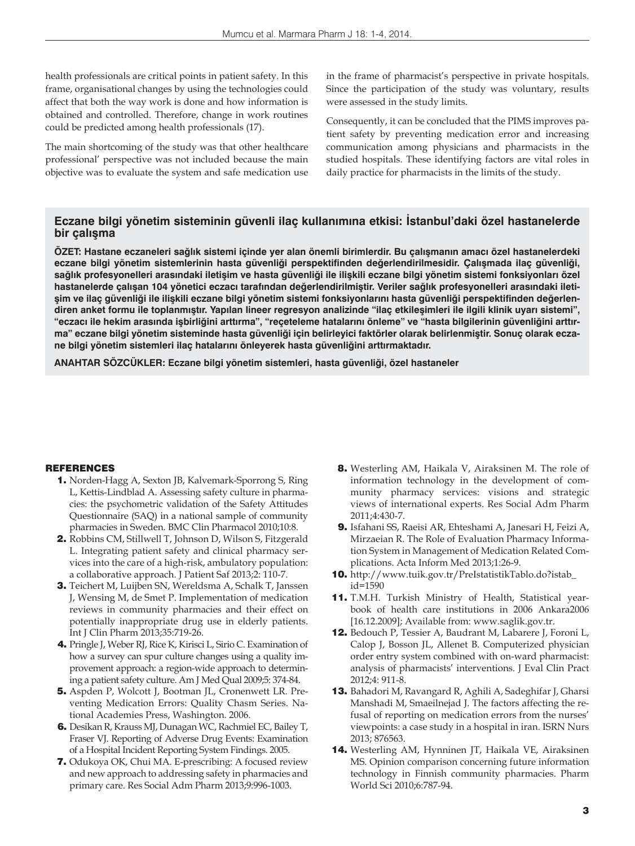health professionals are critical points in patient safety. In this frame, organisational changes by using the technologies could affect that both the way work is done and how information is obtained and controlled. Therefore, change in work routines could be predicted among health professionals (17).

The main shortcoming of the study was that other healthcare professional' perspective was not included because the main objective was to evaluate the system and safe medication use in the frame of pharmacist's perspective in private hospitals. Since the participation of the study was voluntary, results were assessed in the study limits.

Consequently, it can be concluded that the PIMS improves patient safety by preventing medication error and increasing communication among physicians and pharmacists in the studied hospitals. These identifying factors are vital roles in daily practice for pharmacists in the limits of the study.

## **Eczane bilgi yönetim sisteminin güvenli ilaç kullanımına etkisi: İstanbul'daki özel hastanelerde bir çalışma**

**ÖZET: Hastane eczaneleri sağlık sistemi içinde yer alan önemli birimlerdir. Bu çalışmanın amacı özel hastanelerdeki eczane bilgi yönetim sistemlerinin hasta güvenliği perspektifinden değerlendirilmesidir. Çalışmada ilaç güvenliği, sağlık profesyonelleri arasındaki iletişim ve hasta güvenliği ile ilişkili eczane bilgi yönetim sistemi fonksiyonları özel hastanelerde çalışan 104 yönetici eczacı tarafından değerlendirilmiştir. Veriler sağlık profesyonelleri arasındaki iletişim ve ilaç güvenliği ile ilişkili eczane bilgi yönetim sistemi fonksiyonlarını hasta güvenliği perspektifinden değerlendiren anket formu ile toplanmıştır. Yapılan lineer regresyon analizinde "ilaç etkileşimleri ile ilgili klinik uyarı sistemi", "eczacı ile hekim arasında işbirliğini arttırma", "reçeteleme hatalarını önleme" ve "hasta bilgilerinin güvenliğini arttırma" eczane bilgi yönetim sisteminde hasta güvenliği için belirleyici faktörler olarak belirlenmiştir. Sonuç olarak eczane bilgi yönetim sistemleri ilaç hatalarını önleyerek hasta güvenliğini arttırmaktadır.**

**ANAHTAR SÖZCÜKLER: Eczane bilgi yönetim sistemleri, hasta güvenliği, özel hastaneler**

## **REFERENCES**

- 1. Norden-Hagg A, Sexton JB, Kalvemark-Sporrong S, Ring L, Kettis-Lindblad A. Assessing safety culture in pharmacies: the psychometric validation of the Safety Attitudes Questionnaire (SAQ) in a national sample of community pharmacies in Sweden. BMC Clin Pharmacol 2010;10:8.
- 2. Robbins CM, Stillwell T, Johnson D, Wilson S, Fitzgerald L. Integrating patient safety and clinical pharmacy services into the care of a high-risk, ambulatory population: a collaborative approach. J Patient Saf 2013;2: 110-7.
- 3. Teichert M, Luijben SN, Wereldsma A, Schalk T, Janssen J, Wensing M, de Smet P. Implementation of medication reviews in community pharmacies and their effect on potentially inappropriate drug use in elderly patients. Int J Clin Pharm 2013;35:719-26.
- 4. Pringle J, Weber RJ, Rice K, Kirisci L, Sirio C. Examination of how a survey can spur culture changes using a quality improvement approach: a region-wide approach to determining a patient safety culture. Am J Med Qual 2009;5: 374-84.
- 5. Aspden P, Wolcott J, Bootman JL, Cronenwett LR. Preventing Medication Errors: Quality Chasm Series. National Academies Press, Washington. 2006.
- 6. Desikan R, Krauss MJ, Dunagan WC, Rachmiel EC, Bailey T, Fraser VJ. Reporting of Adverse Drug Events: Examination of a Hospital Incident Reporting System Findings. 2005.
- 7. Odukoya OK, Chui MA. E-prescribing: A focused review and new approach to addressing safety in pharmacies and primary care. Res Social Adm Pharm 2013;9:996-1003.
- 8. Westerling AM, Haikala V, Airaksinen M. The role of information technology in the development of community pharmacy services: visions and strategic views of international experts. Res Social Adm Pharm 2011;4:430-7.
- 9. Isfahani SS, Raeisi AR, Ehteshami A, Janesari H, Feizi A, Mirzaeian R. The Role of Evaluation Pharmacy Information System in Management of Medication Related Complications. Acta Inform Med 2013;1:26-9.
- 10. http://www.tuik.gov.tr/PreIstatistikTablo.do?istab\_ id=1590
- 11. T.M.H. Turkish Ministry of Health, Statistical yearbook of health care institutions in 2006 Ankara2006 [16.12.2009]; Available from: www.saglik.gov.tr.
- 12. Bedouch P, Tessier A, Baudrant M, Labarere J, Foroni L, Calop J, Bosson JL, Allenet B. Computerized physician order entry system combined with on-ward pharmacist: analysis of pharmacists' interventions. J Eval Clin Pract 2012;4: 911-8.
- 13. Bahadori M, Ravangard R, Aghili A, Sadeghifar J, Gharsi Manshadi M, Smaeilnejad J. The factors affecting the refusal of reporting on medication errors from the nurses' viewpoints: a case study in a hospital in iran. ISRN Nurs 2013; 876563.
- 14. Westerling AM, Hynninen JT, Haikala VE, Airaksinen MS. Opinion comparison concerning future information technology in Finnish community pharmacies. Pharm World Sci 2010;6:787-94.